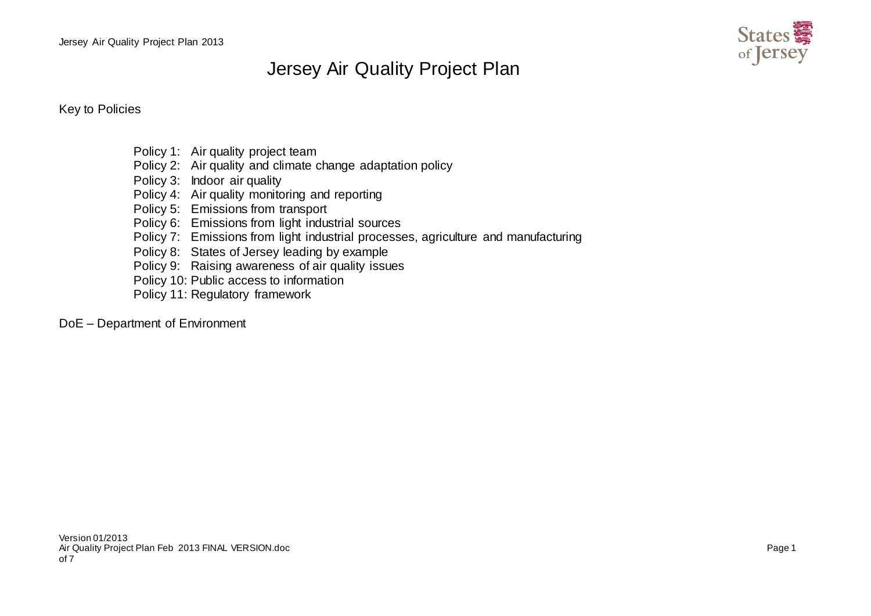Jersey Air Quality Project Plan 2013



## Jersey Air Quality Project Plan

Key to Policies

- Policy 1: Air quality project team
- Policy 2: Air quality and climate change adaptation policy
- Policy 3: Indoor air quality
- Policy 4: Air quality monitoring and reporting
- Policy 5: Emissions from transport
- Policy 6: Emissions from light industrial sources
- Policy 7: Emissions from light industrial processes, agriculture and manufacturing
- Policy 8: States of Jersey leading by example
- Policy 9: Raising awareness of air quality issues
- Policy 10: Public access to information
- Policy 11: Regulatory framework

## DoE – Department of Environment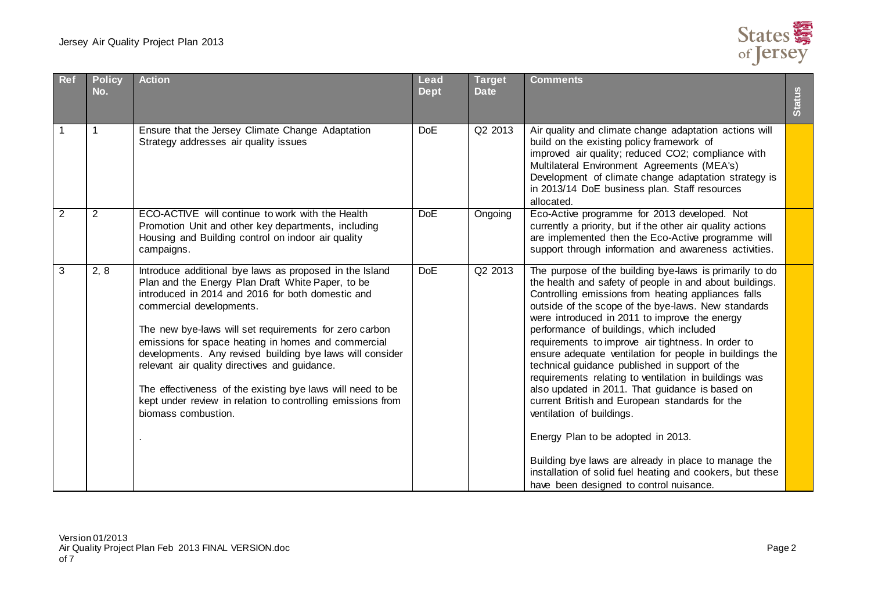

| <b>Ref</b>     | <b>Policy</b><br>No. | <b>Action</b>                                                                                                                                                                                                                                                                                                                                                                                                                                                                                                                                                                    | <b>Lead</b><br><b>Dept</b> | <b>Target</b><br><b>Date</b> | <b>Comments</b>                                                                                                                                                                                                                                                                                                                                                                                                                                                                                                                                                                                                                                                                                                                                                                                                                                                                                   | <b>Status</b> |
|----------------|----------------------|----------------------------------------------------------------------------------------------------------------------------------------------------------------------------------------------------------------------------------------------------------------------------------------------------------------------------------------------------------------------------------------------------------------------------------------------------------------------------------------------------------------------------------------------------------------------------------|----------------------------|------------------------------|---------------------------------------------------------------------------------------------------------------------------------------------------------------------------------------------------------------------------------------------------------------------------------------------------------------------------------------------------------------------------------------------------------------------------------------------------------------------------------------------------------------------------------------------------------------------------------------------------------------------------------------------------------------------------------------------------------------------------------------------------------------------------------------------------------------------------------------------------------------------------------------------------|---------------|
|                | 1                    | Ensure that the Jersey Climate Change Adaptation<br>Strategy addresses air quality issues                                                                                                                                                                                                                                                                                                                                                                                                                                                                                        | <b>DoE</b>                 | Q2 2013                      | Air quality and climate change adaptation actions will<br>build on the existing policy framework of<br>improved air quality; reduced CO2; compliance with<br>Multilateral Environment Agreements (MEA's)<br>Development of climate change adaptation strategy is<br>in 2013/14 DoE business plan. Staff resources<br>allocated.                                                                                                                                                                                                                                                                                                                                                                                                                                                                                                                                                                   |               |
| $\overline{2}$ | $\overline{2}$       | ECO-ACTIVE will continue to work with the Health<br>Promotion Unit and other key departments, including<br>Housing and Building control on indoor air quality<br>campaigns.                                                                                                                                                                                                                                                                                                                                                                                                      | <b>DoE</b>                 | Ongoing                      | Eco-Active programme for 2013 developed. Not<br>currently a priority, but if the other air quality actions<br>are implemented then the Eco-Active programme will<br>support through information and awareness activities.                                                                                                                                                                                                                                                                                                                                                                                                                                                                                                                                                                                                                                                                         |               |
| 3              | 2, 8                 | Introduce additional bye laws as proposed in the Island<br>Plan and the Energy Plan Draft White Paper, to be<br>introduced in 2014 and 2016 for both domestic and<br>commercial developments.<br>The new bye-laws will set requirements for zero carbon<br>emissions for space heating in homes and commercial<br>developments. Any revised building bye laws will consider<br>relevant air quality directives and guidance.<br>The effectiveness of the existing bye laws will need to be<br>kept under review in relation to controlling emissions from<br>biomass combustion. | <b>DoE</b>                 | Q2 2013                      | The purpose of the building bye-laws is primarily to do<br>the health and safety of people in and about buildings.<br>Controlling emissions from heating appliances falls<br>outside of the scope of the bye-laws. New standards<br>were introduced in 2011 to improve the energy<br>performance of buildings, which included<br>requirements to improve air tightness. In order to<br>ensure adequate ventilation for people in buildings the<br>technical guidance published in support of the<br>requirements relating to ventilation in buildings was<br>also updated in 2011. That guidance is based on<br>current British and European standards for the<br>ventilation of buildings.<br>Energy Plan to be adopted in 2013.<br>Building bye laws are already in place to manage the<br>installation of solid fuel heating and cookers, but these<br>have been designed to control nuisance. |               |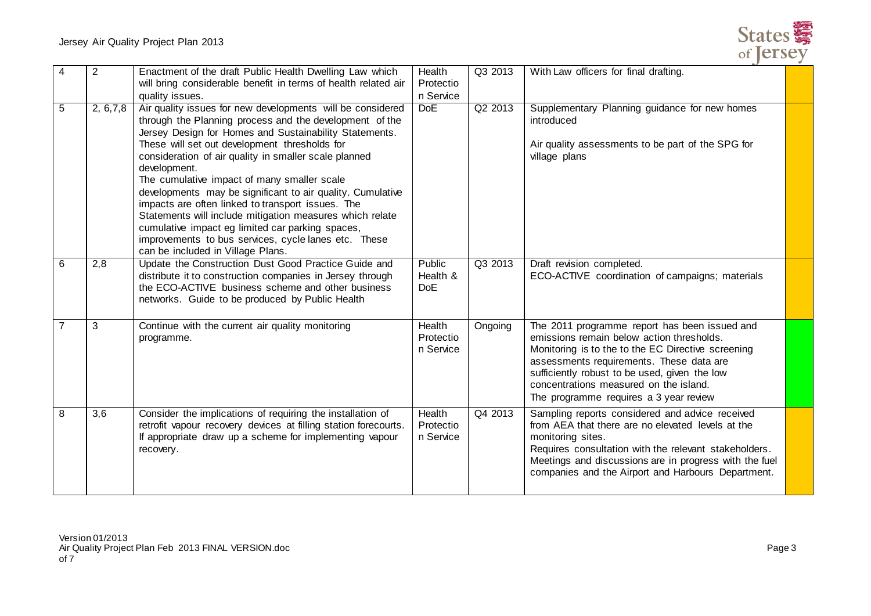

| 4              | $\overline{2}$ | Enactment of the draft Public Health Dwelling Law which<br>will bring considerable benefit in terms of health related air<br>quality issues.                                                                                                                                                                                                                                                                                                                                                                                                                                                                                                                                             | Health<br>Protectio<br>n Service | Q3 2013 | With Law officers for final drafting.                                                                                                                                                                                                                                                                                             |  |
|----------------|----------------|------------------------------------------------------------------------------------------------------------------------------------------------------------------------------------------------------------------------------------------------------------------------------------------------------------------------------------------------------------------------------------------------------------------------------------------------------------------------------------------------------------------------------------------------------------------------------------------------------------------------------------------------------------------------------------------|----------------------------------|---------|-----------------------------------------------------------------------------------------------------------------------------------------------------------------------------------------------------------------------------------------------------------------------------------------------------------------------------------|--|
| 5              | 2, 6, 7, 8     | Air quality issues for new developments will be considered<br>through the Planning process and the development of the<br>Jersey Design for Homes and Sustainability Statements.<br>These will set out development thresholds for<br>consideration of air quality in smaller scale planned<br>development.<br>The cumulative impact of many smaller scale<br>developments may be significant to air quality. Cumulative<br>impacts are often linked to transport issues. The<br>Statements will include mitigation measures which relate<br>cumulative impact eg limited car parking spaces,<br>improvements to bus services, cycle lanes etc. These<br>can be included in Village Plans. | <b>DoE</b>                       | Q2 2013 | Supplementary Planning guidance for new homes<br>introduced<br>Air quality assessments to be part of the SPG for<br>village plans                                                                                                                                                                                                 |  |
| 6              | 2,8            | Update the Construction Dust Good Practice Guide and<br>distribute it to construction companies in Jersey through<br>the ECO-ACTIVE business scheme and other business<br>networks. Guide to be produced by Public Health                                                                                                                                                                                                                                                                                                                                                                                                                                                                | Public<br>Health &<br>DoE        | Q3 2013 | Draft revision completed.<br>ECO-ACTIVE coordination of campaigns; materials                                                                                                                                                                                                                                                      |  |
| $\overline{7}$ | 3              | Continue with the current air quality monitoring<br>programme.                                                                                                                                                                                                                                                                                                                                                                                                                                                                                                                                                                                                                           | Health<br>Protectio<br>n Service | Ongoing | The 2011 programme report has been issued and<br>emissions remain below action thresholds.<br>Monitoring is to the to the EC Directive screening<br>assessments requirements. These data are<br>sufficiently robust to be used, given the low<br>concentrations measured on the island.<br>The programme requires a 3 year review |  |
| 8              | 3,6            | Consider the implications of requiring the installation of<br>retrofit vapour recovery devices at filling station forecourts.<br>If appropriate draw up a scheme for implementing vapour<br>recovery.                                                                                                                                                                                                                                                                                                                                                                                                                                                                                    | Health<br>Protectio<br>n Service | Q4 2013 | Sampling reports considered and advice received<br>from AEA that there are no elevated levels at the<br>monitoring sites.<br>Requires consultation with the relevant stakeholders.<br>Meetings and discussions are in progress with the fuel<br>companies and the Airport and Harbours Department.                                |  |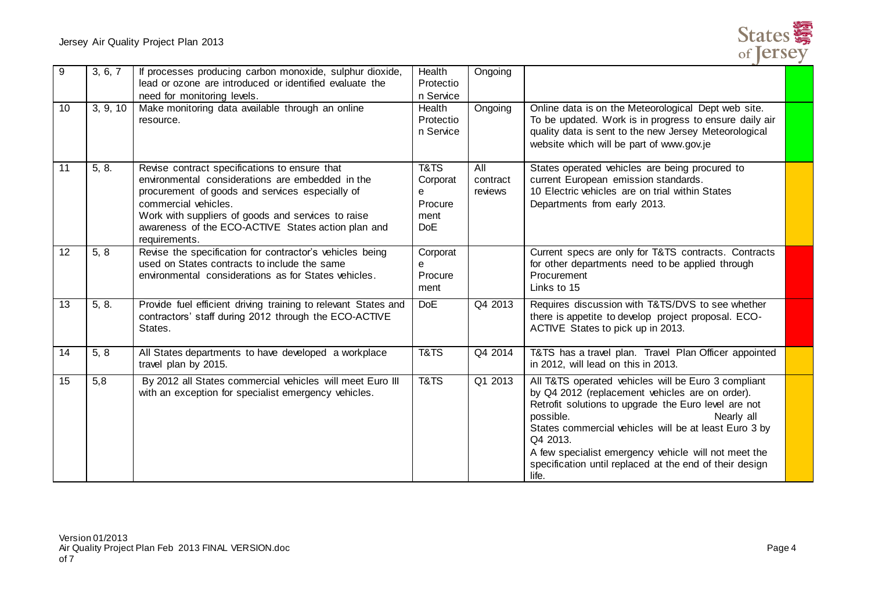

| 9  | 3, 6, 7  | If processes producing carbon monoxide, sulphur dioxide,<br>lead or ozone are introduced or identified evaluate the<br>need for monitoring levels.                                                                                                                                                        | Health<br>Protectio<br>n Service                       | Ongoing                    |                                                                                                                                                                                                                                                                                                                                                                                            |  |
|----|----------|-----------------------------------------------------------------------------------------------------------------------------------------------------------------------------------------------------------------------------------------------------------------------------------------------------------|--------------------------------------------------------|----------------------------|--------------------------------------------------------------------------------------------------------------------------------------------------------------------------------------------------------------------------------------------------------------------------------------------------------------------------------------------------------------------------------------------|--|
| 10 | 3, 9, 10 | Make monitoring data available through an online<br>resource.                                                                                                                                                                                                                                             | Health<br>Protectio<br>n Service                       | Ongoing                    | Online data is on the Meteorological Dept web site.<br>To be updated. Work is in progress to ensure daily air<br>quality data is sent to the new Jersey Meteorological<br>website which will be part of www.gov.je                                                                                                                                                                         |  |
| 11 | 5, 8.    | Revise contract specifications to ensure that<br>environmental considerations are embedded in the<br>procurement of goods and services especially of<br>commercial vehicles.<br>Work with suppliers of goods and services to raise<br>awareness of the ECO-ACTIVE States action plan and<br>requirements. | T&TS<br>Corporat<br>e<br>Procure<br>ment<br><b>DoE</b> | All<br>contract<br>reviews | States operated vehicles are being procured to<br>current European emission standards.<br>10 Electric vehicles are on trial within States<br>Departments from early 2013.                                                                                                                                                                                                                  |  |
| 12 | 5, 8     | Revise the specification for contractor's vehicles being<br>used on States contracts to include the same<br>environmental considerations as for States vehicles.                                                                                                                                          | Corporat<br>e<br>Procure<br>ment                       |                            | Current specs are only for T&TS contracts. Contracts<br>for other departments need to be applied through<br>Procurement<br>Links to 15                                                                                                                                                                                                                                                     |  |
| 13 | 5, 8.    | Provide fuel efficient driving training to relevant States and<br>contractors' staff during 2012 through the ECO-ACTIVE<br>States.                                                                                                                                                                        | <b>DoE</b>                                             | Q4 2013                    | Requires discussion with T&TS/DVS to see whether<br>there is appetite to develop project proposal. ECO-<br>ACTIVE States to pick up in 2013.                                                                                                                                                                                                                                               |  |
| 14 | 5, 8     | All States departments to have developed a workplace<br>travel plan by 2015.                                                                                                                                                                                                                              | T&TS                                                   | Q4 2014                    | T&TS has a travel plan. Travel Plan Officer appointed<br>in 2012, will lead on this in 2013.                                                                                                                                                                                                                                                                                               |  |
| 15 | 5,8      | By 2012 all States commercial vehicles will meet Euro III<br>with an exception for specialist emergency vehicles.                                                                                                                                                                                         | T&TS                                                   | Q1 2013                    | All T&TS operated vehicles will be Euro 3 compliant<br>by Q4 2012 (replacement vehicles are on order).<br>Retrofit solutions to upgrade the Euro level are not<br>possible.<br>Nearly all<br>States commercial vehicles will be at least Euro 3 by<br>Q4 2013.<br>A few specialist emergency vehicle will not meet the<br>specification until replaced at the end of their design<br>life. |  |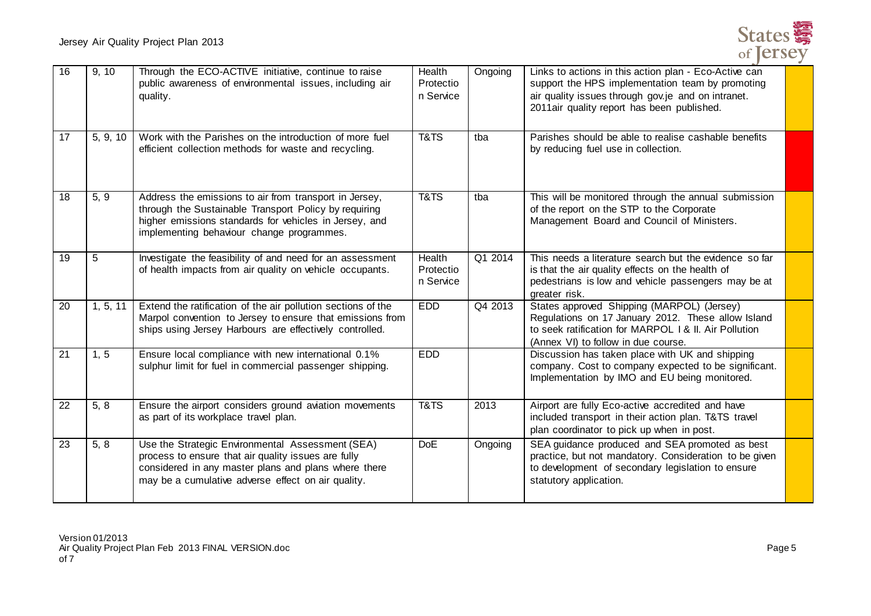

| 16 | 9, 10    | Through the ECO-ACTIVE initiative, continue to raise<br>public awareness of environmental issues, including air<br>quality.                                                                                            | Health<br>Protectio<br>n Service | Ongoing | Links to actions in this action plan - Eco-Active can<br>support the HPS implementation team by promoting<br>air quality issues through gov.je and on intranet.<br>2011air quality report has been published. |  |
|----|----------|------------------------------------------------------------------------------------------------------------------------------------------------------------------------------------------------------------------------|----------------------------------|---------|---------------------------------------------------------------------------------------------------------------------------------------------------------------------------------------------------------------|--|
| 17 | 5, 9, 10 | Work with the Parishes on the introduction of more fuel<br>efficient collection methods for waste and recycling.                                                                                                       | T&TS                             | tba     | Parishes should be able to realise cashable benefits<br>by reducing fuel use in collection.                                                                                                                   |  |
| 18 | 5, 9     | Address the emissions to air from transport in Jersey,<br>through the Sustainable Transport Policy by requiring<br>higher emissions standards for vehicles in Jersey, and<br>implementing behaviour change programmes. | T&TS                             | tba     | This will be monitored through the annual submission<br>of the report on the STP to the Corporate<br>Management Board and Council of Ministers.                                                               |  |
| 19 | 5        | Investigate the feasibility of and need for an assessment<br>of health impacts from air quality on vehicle occupants.                                                                                                  | Health<br>Protectio<br>n Service | Q1 2014 | This needs a literature search but the evidence so far<br>is that the air quality effects on the health of<br>pedestrians is low and vehicle passengers may be at<br>greater risk.                            |  |
| 20 | 1, 5, 11 | Extend the ratification of the air pollution sections of the<br>Marpol convention to Jersey to ensure that emissions from<br>ships using Jersey Harbours are effectively controlled.                                   | <b>EDD</b>                       | Q4 2013 | States approved Shipping (MARPOL) (Jersey)<br>Regulations on 17 January 2012. These allow Island<br>to seek ratification for MARPOL 1 & II. Air Pollution<br>(Annex VI) to follow in due course.              |  |
| 21 | 1, 5     | Ensure local compliance with new international 0.1%<br>sulphur limit for fuel in commercial passenger shipping.                                                                                                        | <b>EDD</b>                       |         | Discussion has taken place with UK and shipping<br>company. Cost to company expected to be significant.<br>Implementation by IMO and EU being monitored.                                                      |  |
| 22 | 5, 8     | Ensure the airport considers ground aviation movements<br>as part of its workplace travel plan.                                                                                                                        | T&TS                             | 2013    | Airport are fully Eco-active accredited and have<br>included transport in their action plan. T&TS travel<br>plan coordinator to pick up when in post.                                                         |  |
| 23 | 5, 8     | Use the Strategic Environmental Assessment (SEA)<br>process to ensure that air quality issues are fully<br>considered in any master plans and plans where there<br>may be a cumulative adverse effect on air quality.  | <b>DoE</b>                       | Ongoing | SEA guidance produced and SEA promoted as best<br>practice, but not mandatory. Consideration to be given<br>to development of secondary legislation to ensure<br>statutory application.                       |  |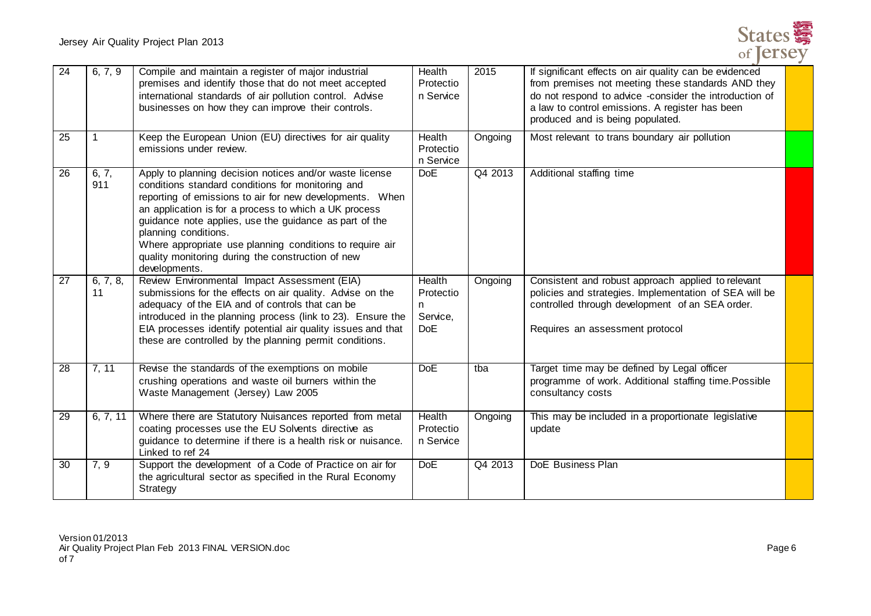

| $\overline{24}$ | 6, 7, 9        | Compile and maintain a register of major industrial<br>premises and identify those that do not meet accepted<br>international standards of air pollution control. Advise<br>businesses on how they can improve their controls.                                                                                                                                                                                                                        | Health<br>Protectio<br>n Service                          | 2015    | If significant effects on air quality can be evidenced<br>from premises not meeting these standards AND they<br>do not respond to advice -consider the introduction of<br>a law to control emissions. A register has been<br>produced and is being populated. |  |
|-----------------|----------------|-------------------------------------------------------------------------------------------------------------------------------------------------------------------------------------------------------------------------------------------------------------------------------------------------------------------------------------------------------------------------------------------------------------------------------------------------------|-----------------------------------------------------------|---------|---------------------------------------------------------------------------------------------------------------------------------------------------------------------------------------------------------------------------------------------------------------|--|
| 25              | $\mathbf 1$    | Keep the European Union (EU) directives for air quality<br>emissions under review.                                                                                                                                                                                                                                                                                                                                                                    | Health<br>Protectio<br>n Service                          | Ongoing | Most relevant to trans boundary air pollution                                                                                                                                                                                                                 |  |
| 26              | 6, 7,<br>911   | Apply to planning decision notices and/or waste license<br>conditions standard conditions for monitoring and<br>reporting of emissions to air for new developments. When<br>an application is for a process to which a UK process<br>guidance note applies, use the guidance as part of the<br>planning conditions.<br>Where appropriate use planning conditions to require air<br>quality monitoring during the construction of new<br>developments. | <b>DoE</b>                                                | Q4 2013 | Additional staffing time                                                                                                                                                                                                                                      |  |
| $\overline{27}$ | 6, 7, 8,<br>11 | Review Environmental Impact Assessment (EIA)<br>submissions for the effects on air quality. Advise on the<br>adequacy of the EIA and of controls that can be<br>introduced in the planning process (link to 23). Ensure the<br>EIA processes identify potential air quality issues and that<br>these are controlled by the planning permit conditions.                                                                                                | <b>Health</b><br>Protectio<br>n<br>Service,<br><b>DoE</b> | Ongoing | Consistent and robust approach applied to relevant<br>policies and strategies. Implementation of SEA will be<br>controlled through development of an SEA order.<br>Requires an assessment protocol                                                            |  |
| 28              | 7, 11          | Revise the standards of the exemptions on mobile<br>crushing operations and waste oil burners within the<br>Waste Management (Jersey) Law 2005                                                                                                                                                                                                                                                                                                        | <b>DoE</b>                                                | tba     | Target time may be defined by Legal officer<br>programme of work. Additional staffing time. Possible<br>consultancy costs                                                                                                                                     |  |
| 29              | 6, 7, 11       | Where there are Statutory Nuisances reported from metal<br>coating processes use the EU Solvents directive as<br>guidance to determine if there is a health risk or nuisance.<br>Linked to ref 24                                                                                                                                                                                                                                                     | <b>Health</b><br>Protectio<br>n Service                   | Ongoing | This may be included in a proportionate legislative<br>update                                                                                                                                                                                                 |  |
| $\overline{30}$ | 7, 9           | Support the development of a Code of Practice on air for<br>the agricultural sector as specified in the Rural Economy<br>Strategy                                                                                                                                                                                                                                                                                                                     | <b>DoE</b>                                                | Q4 2013 | <b>DoE</b> Business Plan                                                                                                                                                                                                                                      |  |